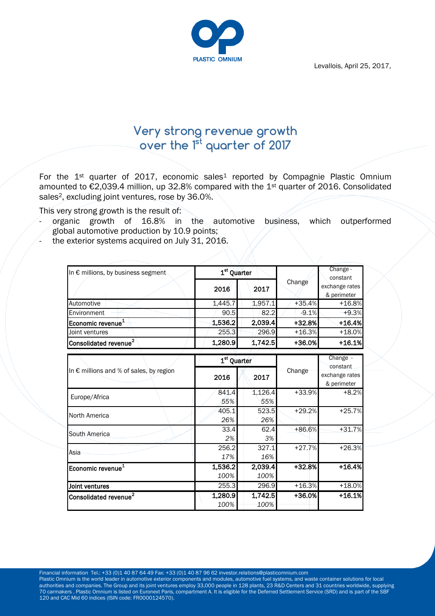Levallois, April 25, 2017,



# **Very strong revenue growth over the 1st quarter of 2017**

For the  $1^{st}$  quarter of 2017, economic sales<sup>1</sup> reported by Compagnie Plastic Omnium amounted to €2,039.4 million, up 32.8% compared with the 1st quarter of 2016. Consolidated sales<sup>2</sup>, excluding joint ventures, rose by 36.0%.

This very strong growth is the result of:

- organic growth of 16.8% in the automotive business, which outperformed global automotive production by 10.9 points;
- the exterior systems acquired on July 31, 2016.

| In € millions, by business segment      | 1 <sup>st</sup> Quarter |                 |          | Change -<br>constant                      |
|-----------------------------------------|-------------------------|-----------------|----------|-------------------------------------------|
|                                         | 2016                    | 2017            | Change   | exchange rates<br>& perimeter             |
| Automotive                              | 1,445.7                 | 1,957.1         | +35.4%   | $+16.8%$                                  |
| Environment                             | 90.5                    | 82.2            | $-9.1%$  | $+9.3%$                                   |
| Economic revenue <sup>1</sup>           | 1,536.2                 | 2,039.4         | +32.8%   | $+16.4%$                                  |
| Joint ventures                          | 255.3                   | 296.9           | $+16.3%$ | $+18.0%$                                  |
| Consolidated revenue <sup>2</sup>       | 1,280.9                 | 1,742.5         | $+36.0%$ | $+16.1%$                                  |
| In € millions and % of sales, by region | 1 <sup>st</sup> Quarter |                 |          | Change -                                  |
|                                         | 2016                    | 2017            | Change   | constant<br>exchange rates<br>& perimeter |
| Europe/Africa                           | 841.4<br>55%            | 1,126.4<br>55%  | $+33.9%$ | $+8.2%$                                   |
| North America                           | 405.1<br>26%            | 523.5<br>26%    | $+29.2%$ | $+25.7%$                                  |
| South America                           | 33.4<br>2%              | 62.4<br>3%      | +86.6%   | $+31.7%$                                  |
| Asia                                    | 256.2<br>17%            | 327.1<br>16%    | $+27.7%$ | $+26.3%$                                  |
| Economic revenue <sup>1</sup>           | 1,536.2<br>100%         | 2,039.4<br>100% | $+32.8%$ | $+16.4%$                                  |
| Joint ventures                          | 255.3                   | 296.9           | $+16.3%$ | $+18.0%$                                  |
| Consolidated revenue <sup>2</sup>       | 1,280.9<br>100%         | 1,742.5<br>100% | +36.0%   | $+16.1%$                                  |

Financial information Tel.: +33 (0)1 40 87 64 49 Fax: +33 (0)1 40 87 96 62 investor.relations@plasticomnium.com

Plastic Omnium is the world leader in automotive exterior components and modules, automotive fuel systems, and waste container solutions for local authorities and companies. The Group and its joint ventures employ 33,000 people in 128 plants, 23 R&D Centers and 31 countries worldwide, supplying 70 carmakers . Plastic Omnium is listed on Euronext Paris, compartment A. It is eligible for the Deferred Settlement Service (SRD) and is part of the SBF 120 and CAC Mid 60 indices (ISIN code: FR0000124570).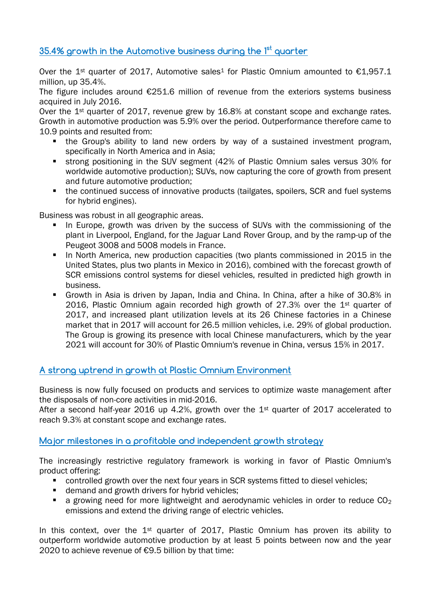## **35.4% growth in the Automotive business during the 1st quarter**

Over the 1<sup>st</sup> quarter of 2017, Automotive sales<sup>1</sup> for Plastic Omnium amounted to  $£1,957.1$ million, up 35.4%.

The figure includes around €251.6 million of revenue from the exteriors systems business acquired in July 2016.

Over the 1<sup>st</sup> quarter of 2017, revenue grew by 16.8% at constant scope and exchange rates. Growth in automotive production was 5.9% over the period. Outperformance therefore came to 10.9 points and resulted from:

- the Group's ability to land new orders by way of a sustained investment program, specifically in North America and in Asia;
- strong positioning in the SUV segment (42% of Plastic Omnium sales versus 30% for worldwide automotive production); SUVs, now capturing the core of growth from present and future automotive production;
- the continued success of innovative products (tailgates, spoilers, SCR and fuel systems for hybrid engines).

Business was robust in all geographic areas.

- In Europe, growth was driven by the success of SUVs with the commissioning of the plant in Liverpool, England, for the Jaguar Land Rover Group, and by the ramp-up of the Peugeot 3008 and 5008 models in France.
- In North America, new production capacities (two plants commissioned in 2015 in the United States, plus two plants in Mexico in 2016), combined with the forecast growth of SCR emissions control systems for diesel vehicles, resulted in predicted high growth in business.
- Growth in Asia is driven by Japan, India and China. In China, after a hike of 30.8% in 2016, Plastic Omnium again recorded high growth of 27.3% over the 1<sup>st</sup> quarter of 2017, and increased plant utilization levels at its 26 Chinese factories in a Chinese market that in 2017 will account for 26.5 million vehicles, i.e. 29% of global production. The Group is growing its presence with local Chinese manufacturers, which by the year 2021 will account for 30% of Plastic Omnium's revenue in China, versus 15% in 2017.

#### **A strong uptrend in growth at Plastic Omnium Environment**

Business is now fully focused on products and services to optimize waste management after the disposals of non-core activities in mid-2016.

After a second half-year 2016 up 4.2%, growth over the  $1<sup>st</sup>$  quarter of 2017 accelerated to reach 9.3% at constant scope and exchange rates.

#### **Major milestones in a profitable and independent growth strategy**

The increasingly restrictive regulatory framework is working in favor of Plastic Omnium's product offering:

- controlled growth over the next four years in SCR systems fitted to diesel vehicles;
- **demand and growth drivers for hybrid vehicles;**
- a growing need for more lightweight and aerodynamic vehicles in order to reduce  $CO<sub>2</sub>$ emissions and extend the driving range of electric vehicles.

In this context, over the 1<sup>st</sup> quarter of 2017, Plastic Omnium has proven its ability to outperform worldwide automotive production by at least 5 points between now and the year 2020 to achieve revenue of €9.5 billion by that time: